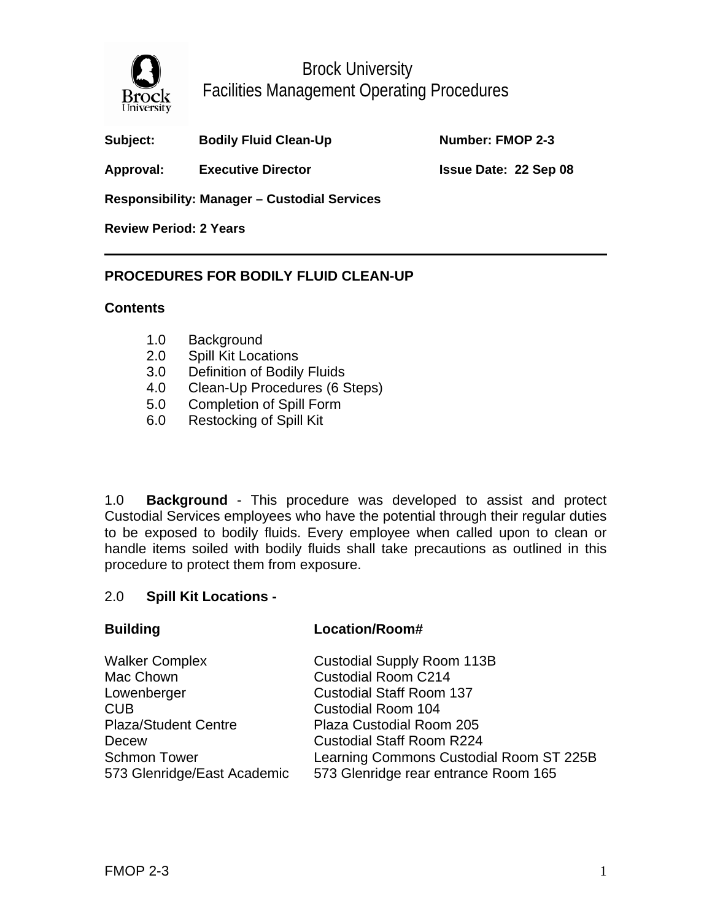

Brock University Facilities Management Operating Procedures

**Number: FMOP 2-3** 

Approval: Executive Director **Issue Date: 22 Sep 08** 

**Responsibility: Manager – Custodial Services** 

**Review Period: 2 Years** 

## **PROCEDURES FOR BODILY FLUID CLEAN-UP**

#### **Contents**

- 1.0 Background
- 2.0 Spill Kit Locations
- 3.0 Definition of Bodily Fluids
- 4.0 Clean-Up Procedures (6 Steps)

**Building Location/Room#** 

- 5.0 Completion of Spill Form
- 6.0 Restocking of Spill Kit

1.0 **Background** - This procedure was developed to assist and protect Custodial Services employees who have the potential through their regular duties to be exposed to bodily fluids. Every employee when called upon to clean or handle items soiled with bodily fluids shall take precautions as outlined in this procedure to protect them from exposure.

#### 2.0 **Spill Kit Locations -**

| <b>Walker Complex</b>       | <b>Custodial Supply Room 113B</b>       |
|-----------------------------|-----------------------------------------|
| Mac Chown                   | <b>Custodial Room C214</b>              |
| Lowenberger                 | <b>Custodial Staff Room 137</b>         |
| CUB                         | <b>Custodial Room 104</b>               |
| <b>Plaza/Student Centre</b> | Plaza Custodial Room 205                |
| Decew                       | <b>Custodial Staff Room R224</b>        |
| <b>Schmon Tower</b>         | Learning Commons Custodial Room ST 225B |
| 573 Glenridge/East Academic | 573 Glenridge rear entrance Room 165    |
|                             |                                         |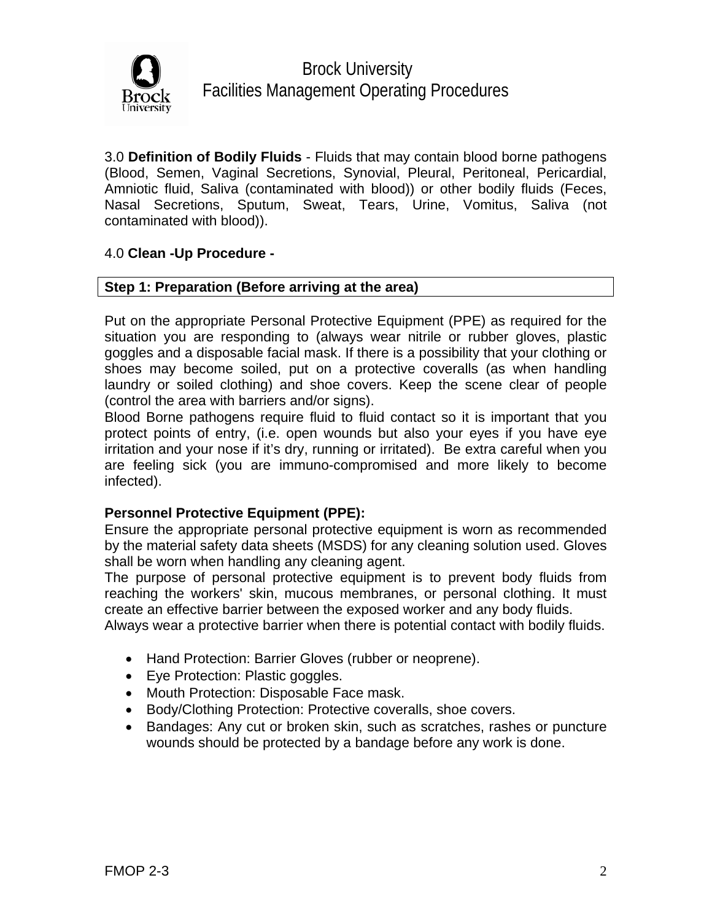

3.0 **Definition of Bodily Fluids** - Fluids that may contain blood borne pathogens (Blood, Semen, Vaginal Secretions, Synovial, Pleural, Peritoneal, Pericardial, Amniotic fluid, Saliva (contaminated with blood)) or other bodily fluids (Feces, Nasal Secretions, Sputum, Sweat, Tears, Urine, Vomitus, Saliva (not contaminated with blood)).

## 4.0 **Clean -Up Procedure -**

#### **Step 1: Preparation (Before arriving at the area)**

Put on the appropriate Personal Protective Equipment (PPE) as required for the situation you are responding to (always wear nitrile or rubber gloves, plastic goggles and a disposable facial mask. If there is a possibility that your clothing or shoes may become soiled, put on a protective coveralls (as when handling laundry or soiled clothing) and shoe covers. Keep the scene clear of people (control the area with barriers and/or signs).

Blood Borne pathogens require fluid to fluid contact so it is important that you protect points of entry, (i.e. open wounds but also your eyes if you have eye irritation and your nose if it's dry, running or irritated). Be extra careful when you are feeling sick (you are immuno-compromised and more likely to become infected).

#### **Personnel Protective Equipment (PPE):**

Ensure the appropriate personal protective equipment is worn as recommended by the material safety data sheets (MSDS) for any cleaning solution used. Gloves shall be worn when handling any cleaning agent.

The purpose of personal protective equipment is to prevent body fluids from reaching the workers' skin, mucous membranes, or personal clothing. It must create an effective barrier between the exposed worker and any body fluids.

Always wear a protective barrier when there is potential contact with bodily fluids.

- Hand Protection: Barrier Gloves (rubber or neoprene).
- Eye Protection: Plastic goggles.
- Mouth Protection: Disposable Face mask.
- Body/Clothing Protection: Protective coveralls, shoe covers.
- Bandages: Any cut or broken skin, such as scratches, rashes or puncture wounds should be protected by a bandage before any work is done.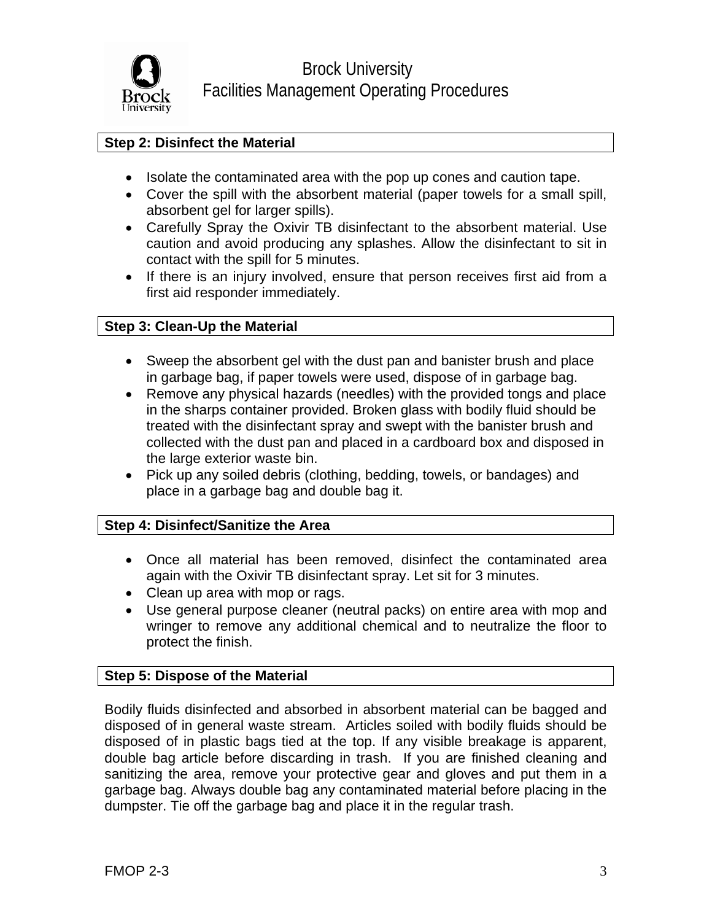

## **Step 2: Disinfect the Material**

- Isolate the contaminated area with the pop up cones and caution tape.
- Cover the spill with the absorbent material (paper towels for a small spill, absorbent gel for larger spills).
- Carefully Spray the Oxivir TB disinfectant to the absorbent material. Use caution and avoid producing any splashes. Allow the disinfectant to sit in contact with the spill for 5 minutes.
- If there is an injury involved, ensure that person receives first aid from a first aid responder immediately.

## **Step 3: Clean-Up the Material**

- Sweep the absorbent gel with the dust pan and banister brush and place in garbage bag, if paper towels were used, dispose of in garbage bag.
- Remove any physical hazards (needles) with the provided tongs and place in the sharps container provided. Broken glass with bodily fluid should be treated with the disinfectant spray and swept with the banister brush and collected with the dust pan and placed in a cardboard box and disposed in the large exterior waste bin.
- Pick up any soiled debris (clothing, bedding, towels, or bandages) and place in a garbage bag and double bag it.

#### **Step 4: Disinfect/Sanitize the Area**

- Once all material has been removed, disinfect the contaminated area again with the Oxivir TB disinfectant spray. Let sit for 3 minutes.
- Clean up area with mop or rags.
- Use general purpose cleaner (neutral packs) on entire area with mop and wringer to remove any additional chemical and to neutralize the floor to protect the finish.

#### **Step 5: Dispose of the Material**

Bodily fluids disinfected and absorbed in absorbent material can be bagged and disposed of in general waste stream. Articles soiled with bodily fluids should be disposed of in plastic bags tied at the top. If any visible breakage is apparent, double bag article before discarding in trash. If you are finished cleaning and sanitizing the area, remove your protective gear and gloves and put them in a garbage bag. Always double bag any contaminated material before placing in the dumpster. Tie off the garbage bag and place it in the regular trash.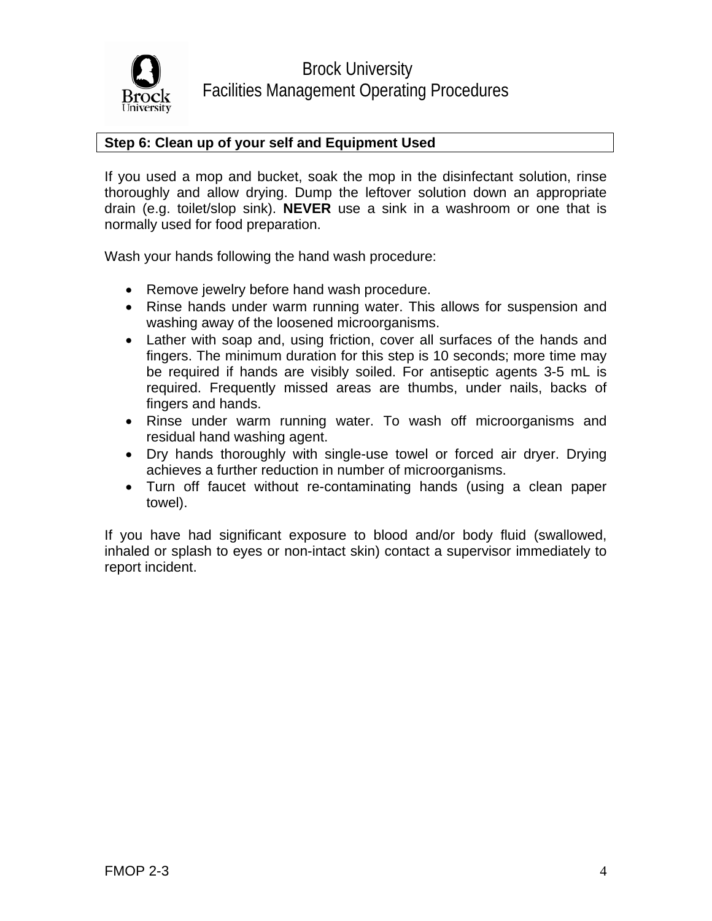

## **Step 6: Clean up of your self and Equipment Used**

If you used a mop and bucket, soak the mop in the disinfectant solution, rinse thoroughly and allow drying. Dump the leftover solution down an appropriate drain (e.g. toilet/slop sink). **NEVER** use a sink in a washroom or one that is normally used for food preparation.

Wash your hands following the hand wash procedure:

- Remove jewelry before hand wash procedure.
- Rinse hands under warm running water. This allows for suspension and washing away of the loosened microorganisms.
- Lather with soap and, using friction, cover all surfaces of the hands and fingers. The minimum duration for this step is 10 seconds; more time may be required if hands are visibly soiled. For antiseptic agents 3-5 mL is required. Frequently missed areas are thumbs, under nails, backs of fingers and hands.
- Rinse under warm running water. To wash off microorganisms and residual hand washing agent.
- Dry hands thoroughly with single-use towel or forced air dryer. Drying achieves a further reduction in number of microorganisms.
- Turn off faucet without re-contaminating hands (using a clean paper towel).

If you have had significant exposure to blood and/or body fluid (swallowed, inhaled or splash to eyes or non-intact skin) contact a supervisor immediately to report incident.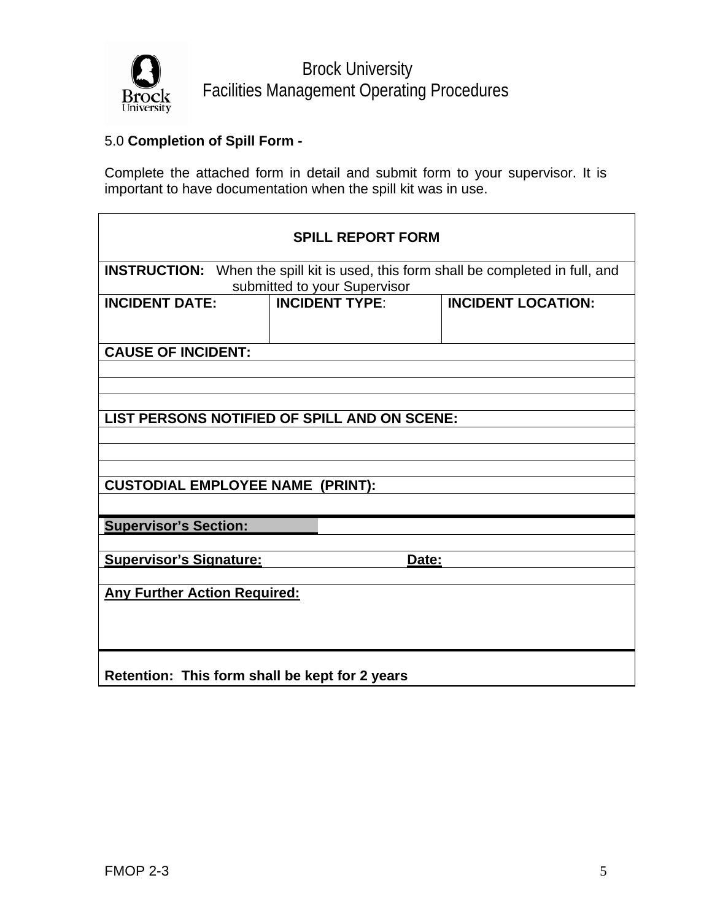

Brock University Facilities Management Operating Procedures

# 5.0 **Completion of Spill Form -**

Complete the attached form in detail and submit form to your supervisor. It is important to have documentation when the spill kit was in use.

| <b>SPILL REPORT FORM</b>                                                                  |                                                       |                           |  |  |
|-------------------------------------------------------------------------------------------|-------------------------------------------------------|---------------------------|--|--|
| <b>INSTRUCTION:</b> When the spill kit is used, this form shall be completed in full, and |                                                       |                           |  |  |
| <b>INCIDENT DATE:</b>                                                                     | submitted to your Supervisor<br><b>INCIDENT TYPE:</b> | <b>INCIDENT LOCATION:</b> |  |  |
|                                                                                           |                                                       |                           |  |  |
|                                                                                           |                                                       |                           |  |  |
| <b>CAUSE OF INCIDENT:</b>                                                                 |                                                       |                           |  |  |
|                                                                                           |                                                       |                           |  |  |
|                                                                                           |                                                       |                           |  |  |
|                                                                                           |                                                       |                           |  |  |
| LIST PERSONS NOTIFIED OF SPILL AND ON SCENE:                                              |                                                       |                           |  |  |
|                                                                                           |                                                       |                           |  |  |
|                                                                                           |                                                       |                           |  |  |
|                                                                                           |                                                       |                           |  |  |
| <b>CUSTODIAL EMPLOYEE NAME (PRINT):</b>                                                   |                                                       |                           |  |  |
|                                                                                           |                                                       |                           |  |  |
| <b>Supervisor's Section:</b>                                                              |                                                       |                           |  |  |
|                                                                                           |                                                       |                           |  |  |
| <b>Supervisor's Signature:</b><br>Date:                                                   |                                                       |                           |  |  |
|                                                                                           |                                                       |                           |  |  |
| <b>Any Further Action Required:</b>                                                       |                                                       |                           |  |  |
|                                                                                           |                                                       |                           |  |  |
|                                                                                           |                                                       |                           |  |  |
|                                                                                           |                                                       |                           |  |  |
| Retention: This form shall be kept for 2 years                                            |                                                       |                           |  |  |